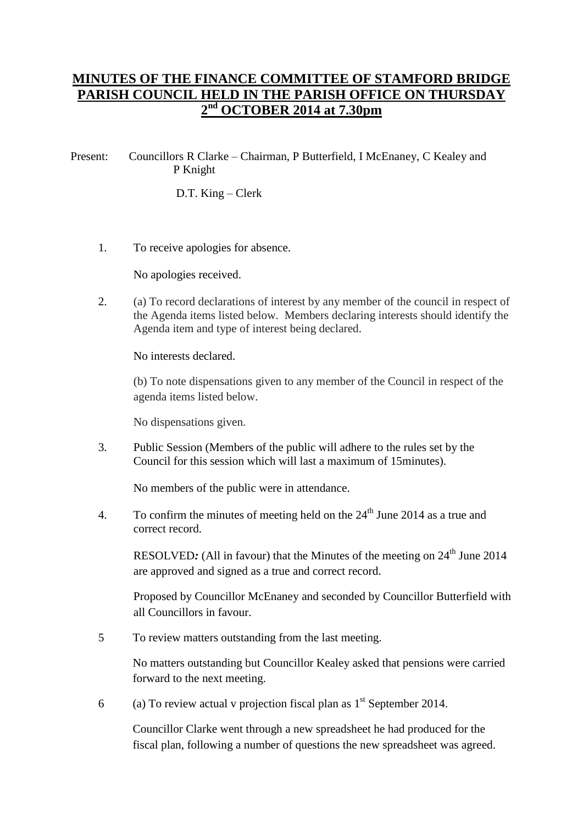## **MINUTES OF THE FINANCE COMMITTEE OF STAMFORD BRIDGE PARISH COUNCIL HELD IN THE PARISH OFFICE ON THURSDAY 2 nd OCTOBER 2014 at 7.30pm**

## Present: Councillors R Clarke – Chairman, P Butterfield, I McEnaney, C Kealey and P Knight

D.T. King – Clerk

1. To receive apologies for absence.

No apologies received.

2. (a) To record declarations of interest by any member of the council in respect of the Agenda items listed below. Members declaring interests should identify the Agenda item and type of interest being declared.

No interests declared.

(b) To note dispensations given to any member of the Council in respect of the agenda items listed below.

No dispensations given.

3. Public Session (Members of the public will adhere to the rules set by the Council for this session which will last a maximum of 15minutes).

No members of the public were in attendance.

4. To confirm the minutes of meeting held on the  $24<sup>th</sup>$  June 2014 as a true and correct record.

RESOLVED: (All in favour) that the Minutes of the meeting on 24<sup>th</sup> June 2014 are approved and signed as a true and correct record.

Proposed by Councillor McEnaney and seconded by Councillor Butterfield with all Councillors in favour.

5 To review matters outstanding from the last meeting.

No matters outstanding but Councillor Kealey asked that pensions were carried forward to the next meeting.

6 (a) To review actual v projection fiscal plan as  $1<sup>st</sup>$  September 2014.

Councillor Clarke went through a new spreadsheet he had produced for the fiscal plan, following a number of questions the new spreadsheet was agreed.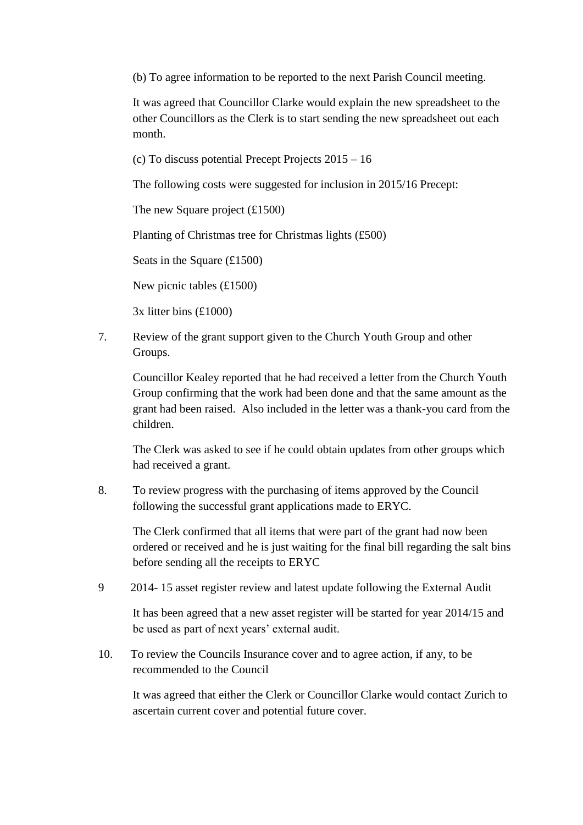(b) To agree information to be reported to the next Parish Council meeting.

It was agreed that Councillor Clarke would explain the new spreadsheet to the other Councillors as the Clerk is to start sending the new spreadsheet out each month.

(c) To discuss potential Precept Projects 2015 – 16

The following costs were suggested for inclusion in 2015/16 Precept:

The new Square project (£1500)

Planting of Christmas tree for Christmas lights (£500)

Seats in the Square (£1500)

New picnic tables (£1500)

3x litter bins (£1000)

7. Review of the grant support given to the Church Youth Group and other Groups.

Councillor Kealey reported that he had received a letter from the Church Youth Group confirming that the work had been done and that the same amount as the grant had been raised. Also included in the letter was a thank-you card from the children.

The Clerk was asked to see if he could obtain updates from other groups which had received a grant.

8. To review progress with the purchasing of items approved by the Council following the successful grant applications made to ERYC.

The Clerk confirmed that all items that were part of the grant had now been ordered or received and he is just waiting for the final bill regarding the salt bins before sending all the receipts to ERYC

9 2014- 15 asset register review and latest update following the External Audit

It has been agreed that a new asset register will be started for year 2014/15 and be used as part of next years' external audit.

10. To review the Councils Insurance cover and to agree action, if any, to be recommended to the Council

It was agreed that either the Clerk or Councillor Clarke would contact Zurich to ascertain current cover and potential future cover.